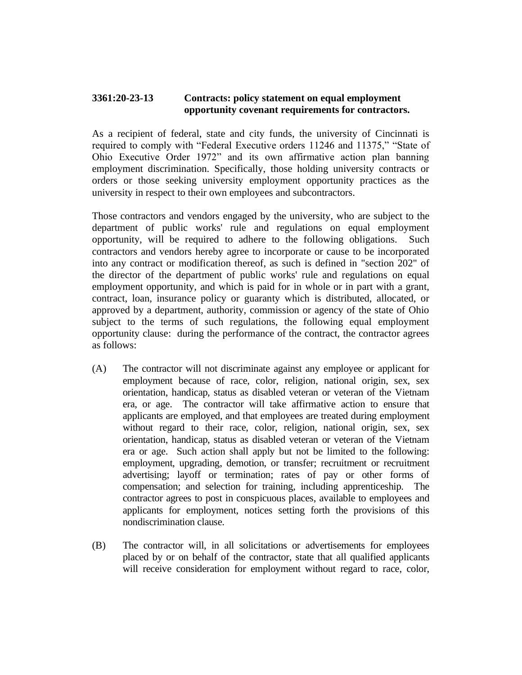## **3361:20-23-13 Contracts: policy statement on equal employment opportunity covenant requirements for contractors.**

As a recipient of federal, state and city funds, the university of Cincinnati is required to comply with "Federal Executive orders 11246 and 11375," "State of Ohio Executive Order 1972" and its own affirmative action plan banning employment discrimination. Specifically, those holding university contracts or orders or those seeking university employment opportunity practices as the university in respect to their own employees and subcontractors.

Those contractors and vendors engaged by the university, who are subject to the department of public works' rule and regulations on equal employment opportunity, will be required to adhere to the following obligations. Such contractors and vendors hereby agree to incorporate or cause to be incorporated into any contract or modification thereof, as such is defined in "section 202" of the director of the department of public works' rule and regulations on equal employment opportunity, and which is paid for in whole or in part with a grant, contract, loan, insurance policy or guaranty which is distributed, allocated, or approved by a department, authority, commission or agency of the state of Ohio subject to the terms of such regulations, the following equal employment opportunity clause: during the performance of the contract, the contractor agrees as follows:

- (A) The contractor will not discriminate against any employee or applicant for employment because of race, color, religion, national origin, sex, sex orientation, handicap, status as disabled veteran or veteran of the Vietnam era, or age. The contractor will take affirmative action to ensure that applicants are employed, and that employees are treated during employment without regard to their race, color, religion, national origin, sex, sex orientation, handicap, status as disabled veteran or veteran of the Vietnam era or age. Such action shall apply but not be limited to the following: employment, upgrading, demotion, or transfer; recruitment or recruitment advertising; layoff or termination; rates of pay or other forms of compensation; and selection for training, including apprenticeship. The contractor agrees to post in conspicuous places, available to employees and applicants for employment, notices setting forth the provisions of this nondiscrimination clause.
- (B) The contractor will, in all solicitations or advertisements for employees placed by or on behalf of the contractor, state that all qualified applicants will receive consideration for employment without regard to race, color,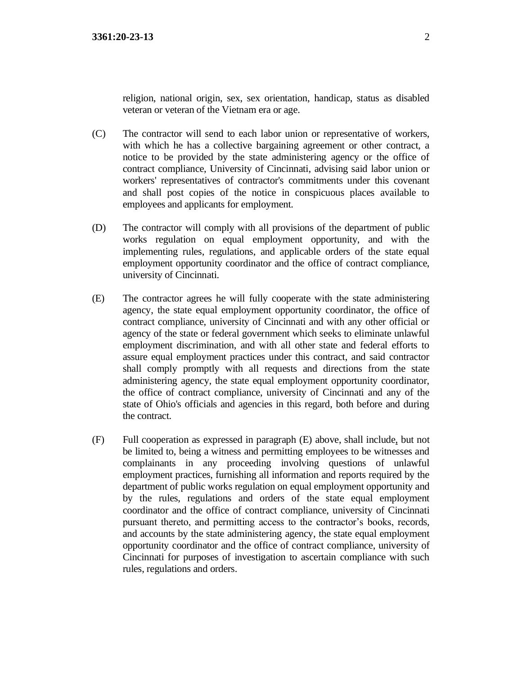- (C) The contractor will send to each labor union or representative of workers, with which he has a collective bargaining agreement or other contract, a notice to be provided by the state administering agency or the office of contract compliance, University of Cincinnati, advising said labor union or workers' representatives of contractor's commitments under this covenant and shall post copies of the notice in conspicuous places available to employees and applicants for employment.
- (D) The contractor will comply with all provisions of the department of public works regulation on equal employment opportunity, and with the implementing rules, regulations, and applicable orders of the state equal employment opportunity coordinator and the office of contract compliance, university of Cincinnati.
- (E) The contractor agrees he will fully cooperate with the state administering agency, the state equal employment opportunity coordinator, the office of contract compliance, university of Cincinnati and with any other official or agency of the state or federal government which seeks to eliminate unlawful employment discrimination, and with all other state and federal efforts to assure equal employment practices under this contract, and said contractor shall comply promptly with all requests and directions from the state administering agency, the state equal employment opportunity coordinator, the office of contract compliance, university of Cincinnati and any of the state of Ohio's officials and agencies in this regard, both before and during the contract.
- (F) Full cooperation as expressed in paragraph (E) above, shall include, but not be limited to, being a witness and permitting employees to be witnesses and complainants in any proceeding involving questions of unlawful employment practices, furnishing all information and reports required by the department of public works regulation on equal employment opportunity and by the rules, regulations and orders of the state equal employment coordinator and the office of contract compliance, university of Cincinnati pursuant thereto, and permitting access to the contractor's books, records, and accounts by the state administering agency, the state equal employment opportunity coordinator and the office of contract compliance, university of Cincinnati for purposes of investigation to ascertain compliance with such rules, regulations and orders.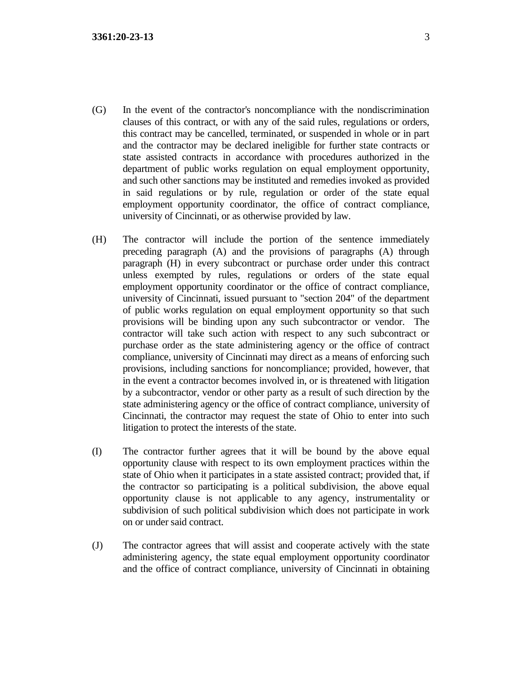- (G) In the event of the contractor's noncompliance with the nondiscrimination clauses of this contract, or with any of the said rules, regulations or orders, this contract may be cancelled, terminated, or suspended in whole or in part and the contractor may be declared ineligible for further state contracts or state assisted contracts in accordance with procedures authorized in the department of public works regulation on equal employment opportunity, and such other sanctions may be instituted and remedies invoked as provided in said regulations or by rule, regulation or order of the state equal employment opportunity coordinator, the office of contract compliance, university of Cincinnati, or as otherwise provided by law.
- (H) The contractor will include the portion of the sentence immediately preceding paragraph (A) and the provisions of paragraphs (A) through paragraph (H) in every subcontract or purchase order under this contract unless exempted by rules, regulations or orders of the state equal employment opportunity coordinator or the office of contract compliance, university of Cincinnati, issued pursuant to "section 204" of the department of public works regulation on equal employment opportunity so that such provisions will be binding upon any such subcontractor or vendor. The contractor will take such action with respect to any such subcontract or purchase order as the state administering agency or the office of contract compliance, university of Cincinnati may direct as a means of enforcing such provisions, including sanctions for noncompliance; provided, however, that in the event a contractor becomes involved in, or is threatened with litigation by a subcontractor, vendor or other party as a result of such direction by the state administering agency or the office of contract compliance, university of Cincinnati, the contractor may request the state of Ohio to enter into such litigation to protect the interests of the state.
- (I) The contractor further agrees that it will be bound by the above equal opportunity clause with respect to its own employment practices within the state of Ohio when it participates in a state assisted contract; provided that, if the contractor so participating is a political subdivision, the above equal opportunity clause is not applicable to any agency, instrumentality or subdivision of such political subdivision which does not participate in work on or under said contract.
- (J) The contractor agrees that will assist and cooperate actively with the state administering agency, the state equal employment opportunity coordinator and the office of contract compliance, university of Cincinnati in obtaining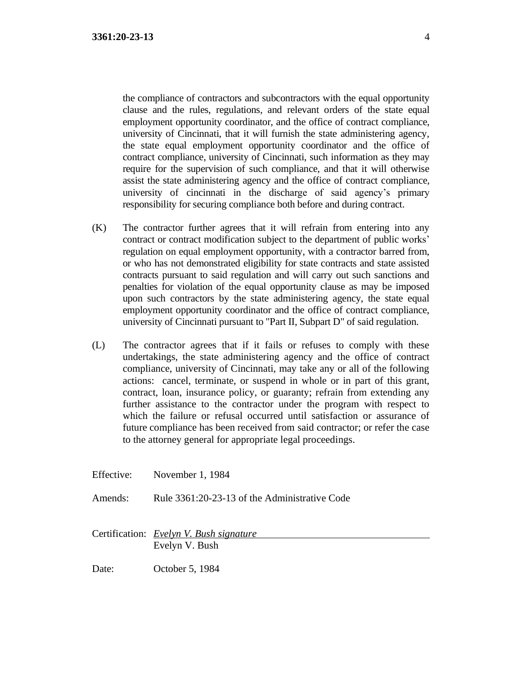the compliance of contractors and subcontractors with the equal opportunity clause and the rules, regulations, and relevant orders of the state equal employment opportunity coordinator, and the office of contract compliance, university of Cincinnati, that it will furnish the state administering agency, the state equal employment opportunity coordinator and the office of contract compliance, university of Cincinnati, such information as they may require for the supervision of such compliance, and that it will otherwise assist the state administering agency and the office of contract compliance, university of cincinnati in the discharge of said agency's primary responsibility for securing compliance both before and during contract.

- (K) The contractor further agrees that it will refrain from entering into any contract or contract modification subject to the department of public works' regulation on equal employment opportunity, with a contractor barred from, or who has not demonstrated eligibility for state contracts and state assisted contracts pursuant to said regulation and will carry out such sanctions and penalties for violation of the equal opportunity clause as may be imposed upon such contractors by the state administering agency, the state equal employment opportunity coordinator and the office of contract compliance, university of Cincinnati pursuant to "Part II, Subpart D" of said regulation.
- (L) The contractor agrees that if it fails or refuses to comply with these undertakings, the state administering agency and the office of contract compliance, university of Cincinnati, may take any or all of the following actions: cancel, terminate, or suspend in whole or in part of this grant, contract, loan, insurance policy, or guaranty; refrain from extending any further assistance to the contractor under the program with respect to which the failure or refusal occurred until satisfaction or assurance of future compliance has been received from said contractor; or refer the case to the attorney general for appropriate legal proceedings.

Effective: November 1, 1984 Amends: Rule 3361:20-23-13 of the Administrative Code Certification: *Evelyn V. Bush signature* Evelyn V. Bush

Date: October 5, 1984